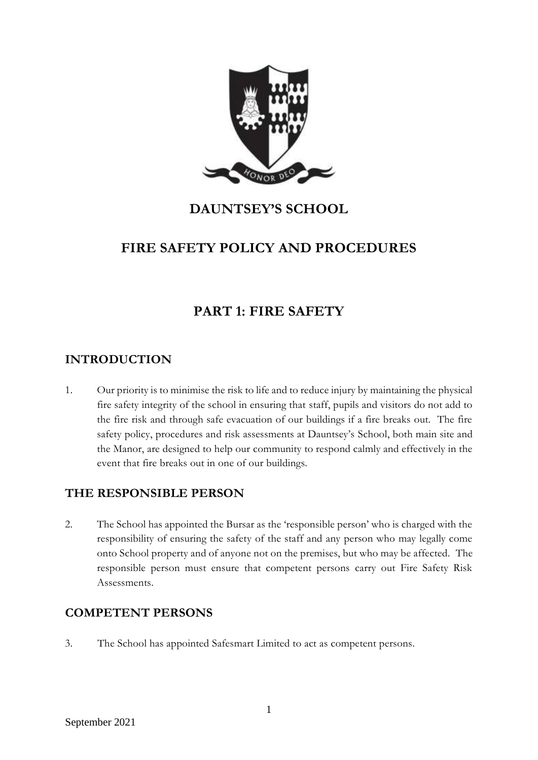

# **DAUNTSEY'S SCHOOL**

# **FIRE SAFETY POLICY AND PROCEDURES**

# **PART 1: FIRE SAFETY**

# **INTRODUCTION**

1. Our priority is to minimise the risk to life and to reduce injury by maintaining the physical fire safety integrity of the school in ensuring that staff, pupils and visitors do not add to the fire risk and through safe evacuation of our buildings if a fire breaks out. The fire safety policy, procedures and risk assessments at Dauntsey's School, both main site and the Manor, are designed to help our community to respond calmly and effectively in the event that fire breaks out in one of our buildings.

# **THE RESPONSIBLE PERSON**

2. The School has appointed the Bursar as the 'responsible person' who is charged with the responsibility of ensuring the safety of the staff and any person who may legally come onto School property and of anyone not on the premises, but who may be affected. The responsible person must ensure that competent persons carry out Fire Safety Risk Assessments.

# **COMPETENT PERSONS**

3. The School has appointed Safesmart Limited to act as competent persons.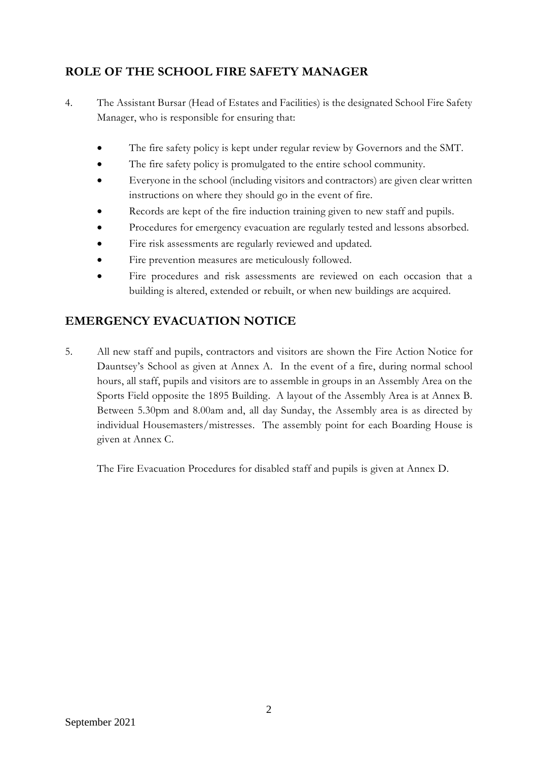# **ROLE OF THE SCHOOL FIRE SAFETY MANAGER**

- 4. The Assistant Bursar (Head of Estates and Facilities) is the designated School Fire Safety Manager, who is responsible for ensuring that:
	- The fire safety policy is kept under regular review by Governors and the SMT.
	- The fire safety policy is promulgated to the entire school community.
	- Everyone in the school (including visitors and contractors) are given clear written instructions on where they should go in the event of fire.
	- Records are kept of the fire induction training given to new staff and pupils.
	- Procedures for emergency evacuation are regularly tested and lessons absorbed.
	- Fire risk assessments are regularly reviewed and updated.
	- Fire prevention measures are meticulously followed.
	- Fire procedures and risk assessments are reviewed on each occasion that a building is altered, extended or rebuilt, or when new buildings are acquired.

# **EMERGENCY EVACUATION NOTICE**

5. All new staff and pupils, contractors and visitors are shown the Fire Action Notice for Dauntsey's School as given at Annex A. In the event of a fire, during normal school hours, all staff, pupils and visitors are to assemble in groups in an Assembly Area on the Sports Field opposite the 1895 Building. A layout of the Assembly Area is at Annex B. Between 5.30pm and 8.00am and, all day Sunday, the Assembly area is as directed by individual Housemasters/mistresses. The assembly point for each Boarding House is given at Annex C.

The Fire Evacuation Procedures for disabled staff and pupils is given at Annex D.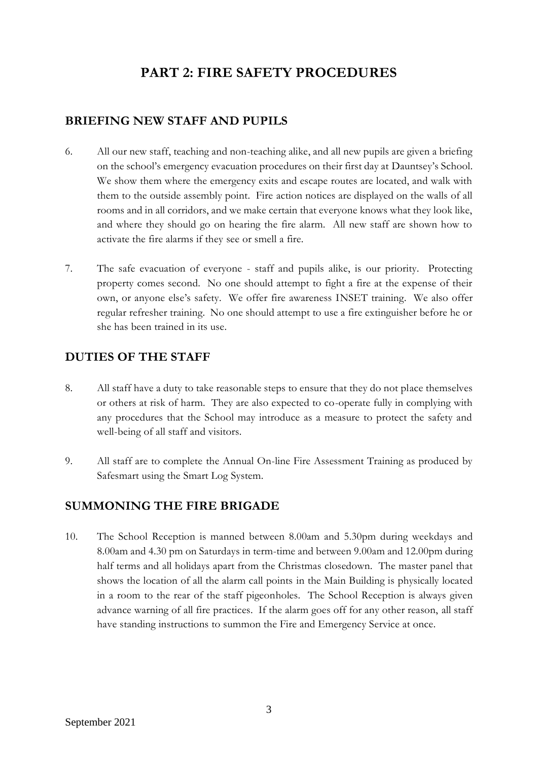# **PART 2: FIRE SAFETY PROCEDURES**

### **BRIEFING NEW STAFF AND PUPILS**

- 6. All our new staff, teaching and non-teaching alike, and all new pupils are given a briefing on the school's emergency evacuation procedures on their first day at Dauntsey's School. We show them where the emergency exits and escape routes are located, and walk with them to the outside assembly point. Fire action notices are displayed on the walls of all rooms and in all corridors, and we make certain that everyone knows what they look like, and where they should go on hearing the fire alarm. All new staff are shown how to activate the fire alarms if they see or smell a fire.
- 7. The safe evacuation of everyone staff and pupils alike, is our priority. Protecting property comes second. No one should attempt to fight a fire at the expense of their own, or anyone else's safety. We offer fire awareness INSET training. We also offer regular refresher training. No one should attempt to use a fire extinguisher before he or she has been trained in its use.

#### **DUTIES OF THE STAFF**

- 8. All staff have a duty to take reasonable steps to ensure that they do not place themselves or others at risk of harm. They are also expected to co-operate fully in complying with any procedures that the School may introduce as a measure to protect the safety and well-being of all staff and visitors.
- 9. All staff are to complete the Annual On-line Fire Assessment Training as produced by Safesmart using the Smart Log System.

#### **SUMMONING THE FIRE BRIGADE**

10. The School Reception is manned between 8.00am and 5.30pm during weekdays and 8.00am and 4.30 pm on Saturdays in term-time and between 9.00am and 12.00pm during half terms and all holidays apart from the Christmas closedown. The master panel that shows the location of all the alarm call points in the Main Building is physically located in a room to the rear of the staff pigeonholes. The School Reception is always given advance warning of all fire practices. If the alarm goes off for any other reason, all staff have standing instructions to summon the Fire and Emergency Service at once.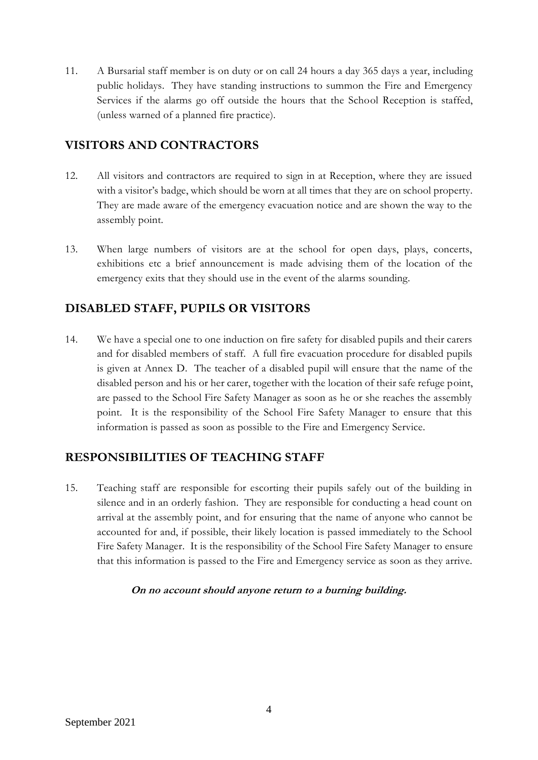11. A Bursarial staff member is on duty or on call 24 hours a day 365 days a year, including public holidays. They have standing instructions to summon the Fire and Emergency Services if the alarms go off outside the hours that the School Reception is staffed, (unless warned of a planned fire practice).

# **VISITORS AND CONTRACTORS**

- 12. All visitors and contractors are required to sign in at Reception, where they are issued with a visitor's badge, which should be worn at all times that they are on school property. They are made aware of the emergency evacuation notice and are shown the way to the assembly point.
- 13. When large numbers of visitors are at the school for open days, plays, concerts, exhibitions etc a brief announcement is made advising them of the location of the emergency exits that they should use in the event of the alarms sounding.

# **DISABLED STAFF, PUPILS OR VISITORS**

14. We have a special one to one induction on fire safety for disabled pupils and their carers and for disabled members of staff. A full fire evacuation procedure for disabled pupils is given at Annex D. The teacher of a disabled pupil will ensure that the name of the disabled person and his or her carer, together with the location of their safe refuge point, are passed to the School Fire Safety Manager as soon as he or she reaches the assembly point. It is the responsibility of the School Fire Safety Manager to ensure that this information is passed as soon as possible to the Fire and Emergency Service.

# **RESPONSIBILITIES OF TEACHING STAFF**

15. Teaching staff are responsible for escorting their pupils safely out of the building in silence and in an orderly fashion. They are responsible for conducting a head count on arrival at the assembly point, and for ensuring that the name of anyone who cannot be accounted for and, if possible, their likely location is passed immediately to the School Fire Safety Manager. It is the responsibility of the School Fire Safety Manager to ensure that this information is passed to the Fire and Emergency service as soon as they arrive.

#### **On no account should anyone return to a burning building.**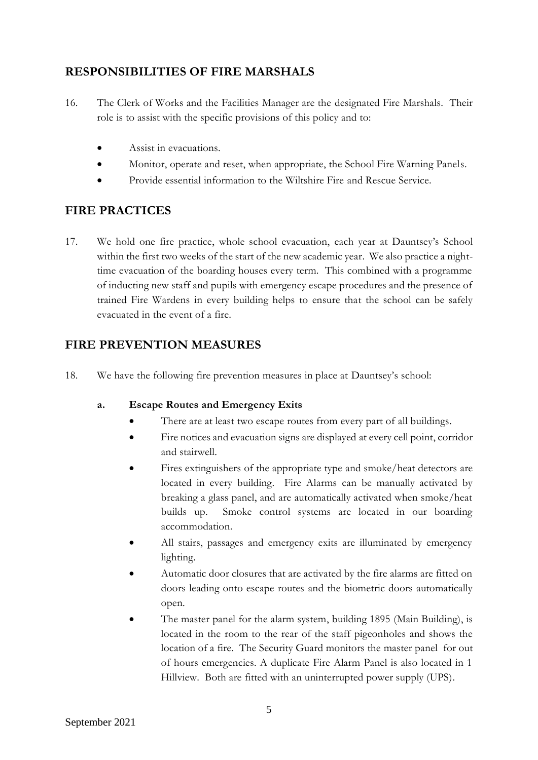# **RESPONSIBILITIES OF FIRE MARSHALS**

- 16. The Clerk of Works and the Facilities Manager are the designated Fire Marshals. Their role is to assist with the specific provisions of this policy and to:
	- Assist in evacuations.
	- Monitor, operate and reset, when appropriate, the School Fire Warning Panels.
	- Provide essential information to the Wiltshire Fire and Rescue Service.

# **FIRE PRACTICES**

17. We hold one fire practice, whole school evacuation, each year at Dauntsey's School within the first two weeks of the start of the new academic year. We also practice a nighttime evacuation of the boarding houses every term. This combined with a programme of inducting new staff and pupils with emergency escape procedures and the presence of trained Fire Wardens in every building helps to ensure that the school can be safely evacuated in the event of a fire.

# **FIRE PREVENTION MEASURES**

18. We have the following fire prevention measures in place at Dauntsey's school:

#### **a. Escape Routes and Emergency Exits**

- There are at least two escape routes from every part of all buildings.
- Fire notices and evacuation signs are displayed at every cell point, corridor and stairwell.
- Fires extinguishers of the appropriate type and smoke/heat detectors are located in every building. Fire Alarms can be manually activated by breaking a glass panel, and are automatically activated when smoke/heat builds up. Smoke control systems are located in our boarding accommodation.
- All stairs, passages and emergency exits are illuminated by emergency lighting.
- Automatic door closures that are activated by the fire alarms are fitted on doors leading onto escape routes and the biometric doors automatically open.
- The master panel for the alarm system, building 1895 (Main Building), is located in the room to the rear of the staff pigeonholes and shows the location of a fire. The Security Guard monitors the master panel for out of hours emergencies. A duplicate Fire Alarm Panel is also located in 1 Hillview. Both are fitted with an uninterrupted power supply (UPS).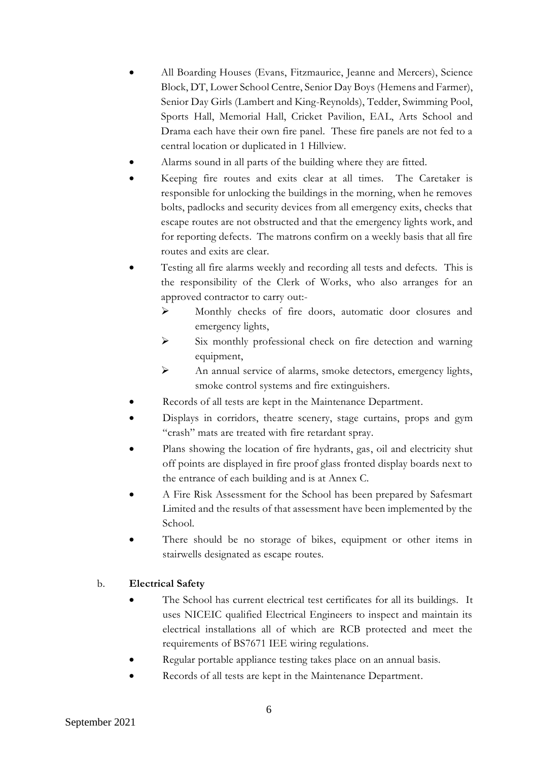- All Boarding Houses (Evans, Fitzmaurice, Jeanne and Mercers), Science Block, DT, Lower School Centre, Senior Day Boys (Hemens and Farmer), Senior Day Girls (Lambert and King-Reynolds), Tedder, Swimming Pool, Sports Hall, Memorial Hall, Cricket Pavilion, EAL, Arts School and Drama each have their own fire panel. These fire panels are not fed to a central location or duplicated in 1 Hillview.
- Alarms sound in all parts of the building where they are fitted.
- Keeping fire routes and exits clear at all times. The Caretaker is responsible for unlocking the buildings in the morning, when he removes bolts, padlocks and security devices from all emergency exits, checks that escape routes are not obstructed and that the emergency lights work, and for reporting defects. The matrons confirm on a weekly basis that all fire routes and exits are clear.
- Testing all fire alarms weekly and recording all tests and defects. This is the responsibility of the Clerk of Works, who also arranges for an approved contractor to carry out:-
	- ➢ Monthly checks of fire doors, automatic door closures and emergency lights,
	- ➢ Six monthly professional check on fire detection and warning equipment,
	- ➢ An annual service of alarms, smoke detectors, emergency lights, smoke control systems and fire extinguishers.
- Records of all tests are kept in the Maintenance Department.
- Displays in corridors, theatre scenery, stage curtains, props and gym "crash" mats are treated with fire retardant spray.
- Plans showing the location of fire hydrants, gas, oil and electricity shut off points are displayed in fire proof glass fronted display boards next to the entrance of each building and is at Annex C.
- A Fire Risk Assessment for the School has been prepared by Safesmart Limited and the results of that assessment have been implemented by the School.
- There should be no storage of bikes, equipment or other items in stairwells designated as escape routes.

#### b. **Electrical Safety**

- The School has current electrical test certificates for all its buildings. It uses NICEIC qualified Electrical Engineers to inspect and maintain its electrical installations all of which are RCB protected and meet the requirements of BS7671 IEE wiring regulations.
- Regular portable appliance testing takes place on an annual basis.
- Records of all tests are kept in the Maintenance Department.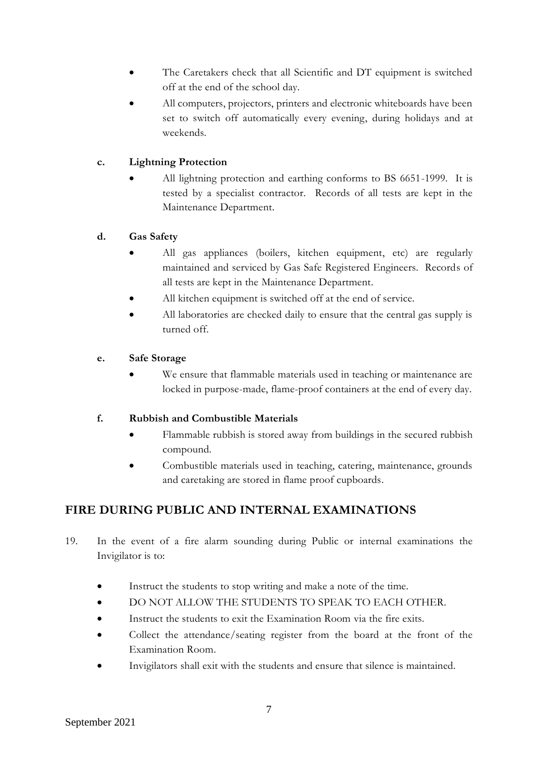- The Caretakers check that all Scientific and DT equipment is switched off at the end of the school day.
- All computers, projectors, printers and electronic whiteboards have been set to switch off automatically every evening, during holidays and at weekends.

#### **c. Lightning Protection**

All lightning protection and earthing conforms to BS 6651-1999. It is tested by a specialist contractor. Records of all tests are kept in the Maintenance Department.

#### **d. Gas Safety**

- All gas appliances (boilers, kitchen equipment, etc) are regularly maintained and serviced by Gas Safe Registered Engineers. Records of all tests are kept in the Maintenance Department.
- All kitchen equipment is switched off at the end of service.
- All laboratories are checked daily to ensure that the central gas supply is turned off.

#### **e. Safe Storage**

We ensure that flammable materials used in teaching or maintenance are locked in purpose-made, flame-proof containers at the end of every day.

#### **f. Rubbish and Combustible Materials**

- Flammable rubbish is stored away from buildings in the secured rubbish compound.
- Combustible materials used in teaching, catering, maintenance, grounds and caretaking are stored in flame proof cupboards.

# **FIRE DURING PUBLIC AND INTERNAL EXAMINATIONS**

- 19. In the event of a fire alarm sounding during Public or internal examinations the Invigilator is to:
	- Instruct the students to stop writing and make a note of the time.
	- DO NOT ALLOW THE STUDENTS TO SPEAK TO EACH OTHER.
	- Instruct the students to exit the Examination Room via the fire exits.
	- Collect the attendance/seating register from the board at the front of the Examination Room.
	- Invigilators shall exit with the students and ensure that silence is maintained.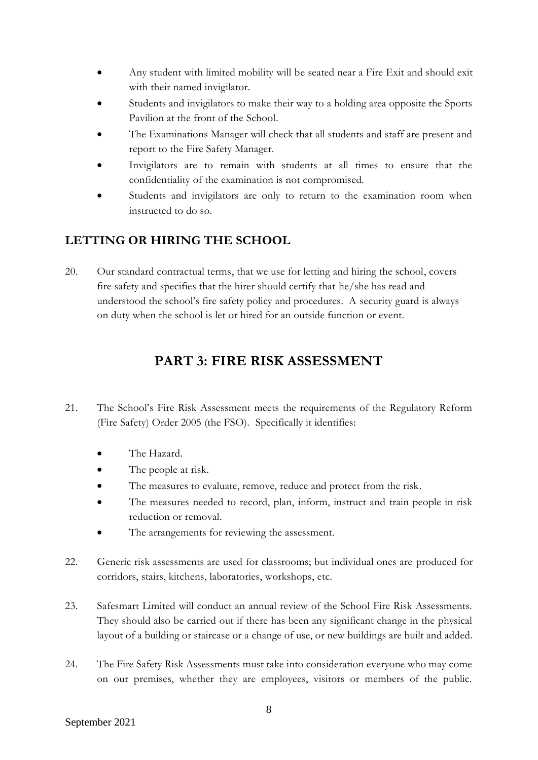- Any student with limited mobility will be seated near a Fire Exit and should exit with their named invigilator.
- Students and invigilators to make their way to a holding area opposite the Sports Pavilion at the front of the School.
- The Examinations Manager will check that all students and staff are present and report to the Fire Safety Manager.
- Invigilators are to remain with students at all times to ensure that the confidentiality of the examination is not compromised.
- Students and invigilators are only to return to the examination room when instructed to do so.

# **LETTING OR HIRING THE SCHOOL**

20. Our standard contractual terms, that we use for letting and hiring the school, covers fire safety and specifies that the hirer should certify that he/she has read and understood the school's fire safety policy and procedures. A security guard is always on duty when the school is let or hired for an outside function or event.

# **PART 3: FIRE RISK ASSESSMENT**

- 21. The School's Fire Risk Assessment meets the requirements of the Regulatory Reform (Fire Safety) Order 2005 (the FSO). Specifically it identifies:
	- The Hazard.
	- The people at risk.
	- The measures to evaluate, remove, reduce and protect from the risk.
	- The measures needed to record, plan, inform, instruct and train people in risk reduction or removal.
	- The arrangements for reviewing the assessment.
- 22. Generic risk assessments are used for classrooms; but individual ones are produced for corridors, stairs, kitchens, laboratories, workshops, etc.
- 23. Safesmart Limited will conduct an annual review of the School Fire Risk Assessments. They should also be carried out if there has been any significant change in the physical layout of a building or staircase or a change of use, or new buildings are built and added.
- 24. The Fire Safety Risk Assessments must take into consideration everyone who may come on our premises, whether they are employees, visitors or members of the public.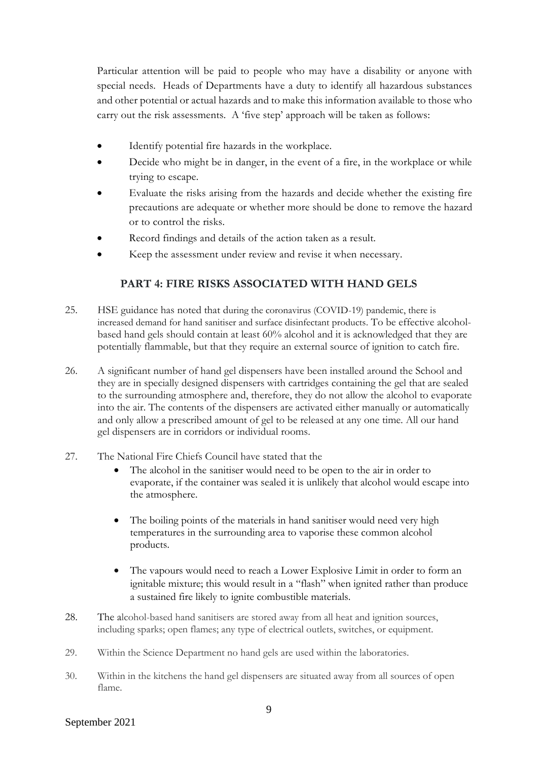Particular attention will be paid to people who may have a disability or anyone with special needs. Heads of Departments have a duty to identify all hazardous substances and other potential or actual hazards and to make this information available to those who carry out the risk assessments. A 'five step' approach will be taken as follows:

- Identify potential fire hazards in the workplace.
- Decide who might be in danger, in the event of a fire, in the workplace or while trying to escape.
- Evaluate the risks arising from the hazards and decide whether the existing fire precautions are adequate or whether more should be done to remove the hazard or to control the risks.
- Record findings and details of the action taken as a result.
- Keep the assessment under review and revise it when necessary.

#### **PART 4: FIRE RISKS ASSOCIATED WITH HAND GELS**

- 25. HSE guidance has noted that during the coronavirus (COVID-19) pandemic, there is increased demand for hand sanitiser and surface disinfectant products. To be effective alcoholbased hand gels should contain at least 60% alcohol and it is acknowledged that they are potentially flammable, but that they require an external source of ignition to catch fire.
- 26. A significant number of hand gel dispensers have been installed around the School and they are in specially designed dispensers with cartridges containing the gel that are sealed to the surrounding atmosphere and, therefore, they do not allow the alcohol to evaporate into the air. The contents of the dispensers are activated either manually or automatically and only allow a prescribed amount of gel to be released at any one time. All our hand gel dispensers are in corridors or individual rooms.
- 27. The National Fire Chiefs Council have stated that the
	- The alcohol in the sanitiser would need to be open to the air in order to evaporate, if the container was sealed it is unlikely that alcohol would escape into the atmosphere.
	- The boiling points of the materials in hand sanitiser would need very high temperatures in the surrounding area to vaporise these common alcohol products.
	- The vapours would need to reach a Lower Explosive Limit in order to form an ignitable mixture; this would result in a "flash" when ignited rather than produce a sustained fire likely to ignite combustible materials.
- 28. The alcohol-based hand sanitisers are stored away from all heat and ignition sources, including sparks; open flames; any type of electrical outlets, switches, or equipment.
- 29. Within the Science Department no hand gels are used within the laboratories.
- 30. Within in the kitchens the hand gel dispensers are situated away from all sources of open flame.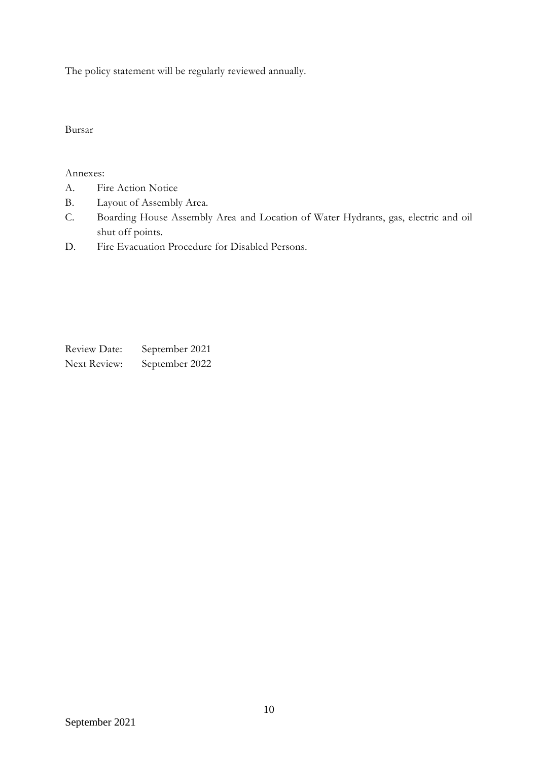The policy statement will be regularly reviewed annually.

Bursar

Annexes:

- A. Fire Action Notice
- B. Layout of Assembly Area.
- C. Boarding House Assembly Area and Location of Water Hydrants, gas, electric and oil shut off points.
- D. Fire Evacuation Procedure for Disabled Persons.

Review Date: September 2021 Next Review: September 2022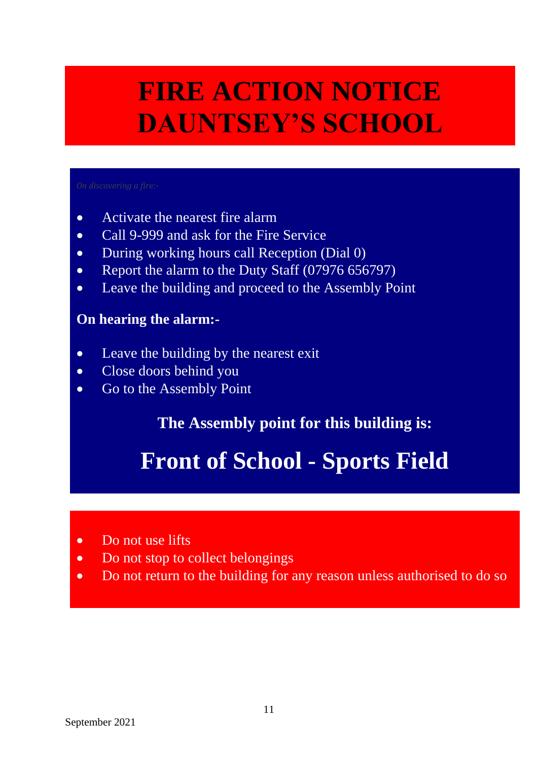# **FIRE ACTION NOTICE DAUNTSEY'S SCHOOL**

- Activate the nearest fire alarm
- Call 9-999 and ask for the Fire Service
- During working hours call Reception (Dial 0)
- Report the alarm to the Duty Staff (07976 656797)
- Leave the building and proceed to the Assembly Point

# **On hearing the alarm:-**

- Leave the building by the nearest exit
- Close doors behind you
- Go to the Assembly Point

# **The Assembly point for this building is:**

# **Front of School - Sports Field**

- Do not use lifts
- Do not stop to collect belongings
- Do not return to the building for any reason unless authorised to do so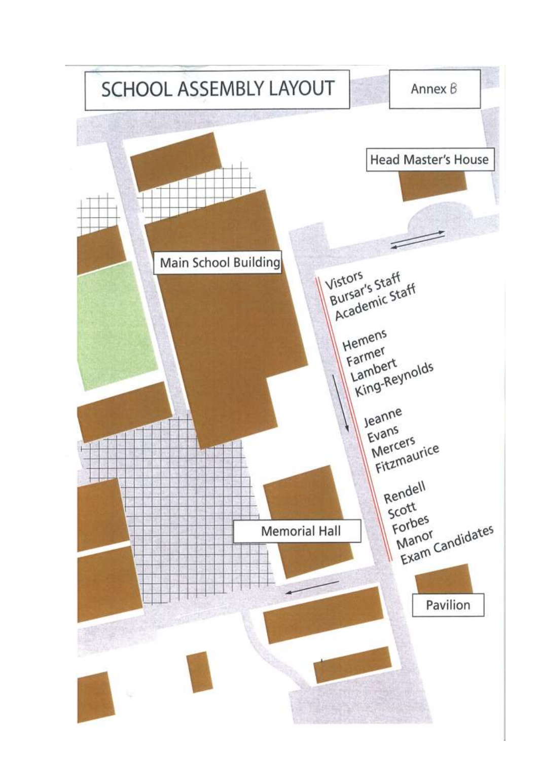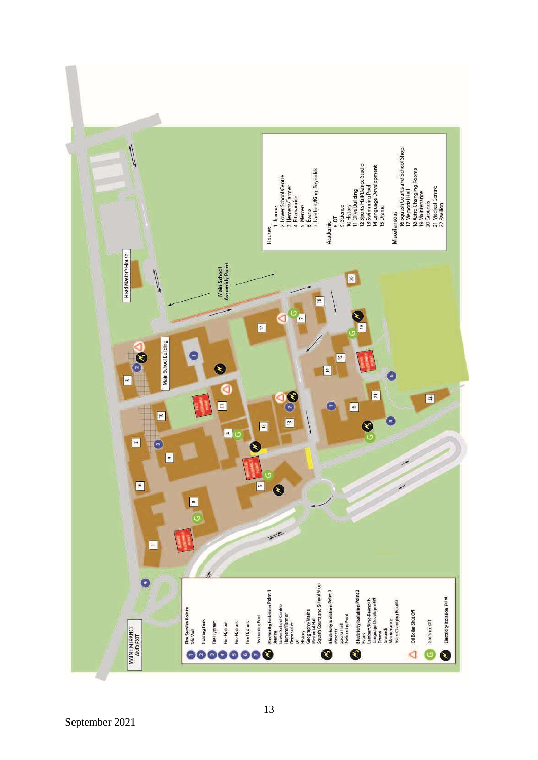